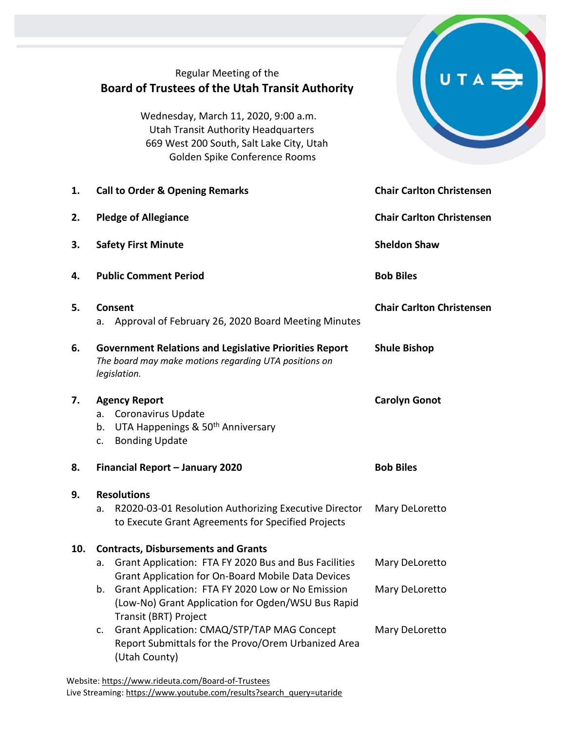|     | Regular Meeting of the<br><b>Board of Trustees of the Utah Transit Authority</b><br>Wednesday, March 11, 2020, 9:00 a.m.<br><b>Utah Transit Authority Headquarters</b><br>669 West 200 South, Salt Lake City, Utah<br>Golden Spike Conference Rooms                                                                                                                                                                                                       |                                                    |  |  |  |
|-----|-----------------------------------------------------------------------------------------------------------------------------------------------------------------------------------------------------------------------------------------------------------------------------------------------------------------------------------------------------------------------------------------------------------------------------------------------------------|----------------------------------------------------|--|--|--|
| 1.  | <b>Call to Order &amp; Opening Remarks</b>                                                                                                                                                                                                                                                                                                                                                                                                                | <b>Chair Carlton Christensen</b>                   |  |  |  |
| 2.  | <b>Pledge of Allegiance</b>                                                                                                                                                                                                                                                                                                                                                                                                                               | <b>Chair Carlton Christensen</b>                   |  |  |  |
| 3.  | <b>Safety First Minute</b>                                                                                                                                                                                                                                                                                                                                                                                                                                | <b>Sheldon Shaw</b>                                |  |  |  |
| 4.  | <b>Public Comment Period</b><br><b>Bob Biles</b>                                                                                                                                                                                                                                                                                                                                                                                                          |                                                    |  |  |  |
| 5.  | Consent<br>Approval of February 26, 2020 Board Meeting Minutes<br>a.                                                                                                                                                                                                                                                                                                                                                                                      | <b>Chair Carlton Christensen</b>                   |  |  |  |
| 6.  | <b>Government Relations and Legislative Priorities Report</b><br>The board may make motions regarding UTA positions on<br>legislation.                                                                                                                                                                                                                                                                                                                    | <b>Shule Bishop</b>                                |  |  |  |
| 7.  | <b>Agency Report</b><br>Coronavirus Update<br>a.<br>UTA Happenings & 50 <sup>th</sup> Anniversary<br>b.<br><b>Bonding Update</b><br>c.                                                                                                                                                                                                                                                                                                                    | <b>Carolyn Gonot</b>                               |  |  |  |
| 8.  | Financial Report - January 2020<br><b>Bob Biles</b>                                                                                                                                                                                                                                                                                                                                                                                                       |                                                    |  |  |  |
| 9.  | <b>Resolutions</b>                                                                                                                                                                                                                                                                                                                                                                                                                                        |                                                    |  |  |  |
|     | R2020-03-01 Resolution Authorizing Executive Director<br>a.<br>to Execute Grant Agreements for Specified Projects                                                                                                                                                                                                                                                                                                                                         | Mary DeLoretto                                     |  |  |  |
| 10. | <b>Contracts, Disbursements and Grants</b><br>Grant Application: FTA FY 2020 Bus and Bus Facilities<br>a.<br><b>Grant Application for On-Board Mobile Data Devices</b><br>Grant Application: FTA FY 2020 Low or No Emission<br>b.<br>(Low-No) Grant Application for Ogden/WSU Bus Rapid<br>Transit (BRT) Project<br>Grant Application: CMAQ/STP/TAP MAG Concept<br>C <sub>1</sub><br>Report Submittals for the Provo/Orem Urbanized Area<br>(Utah County) | Mary DeLoretto<br>Mary DeLoretto<br>Mary DeLoretto |  |  |  |